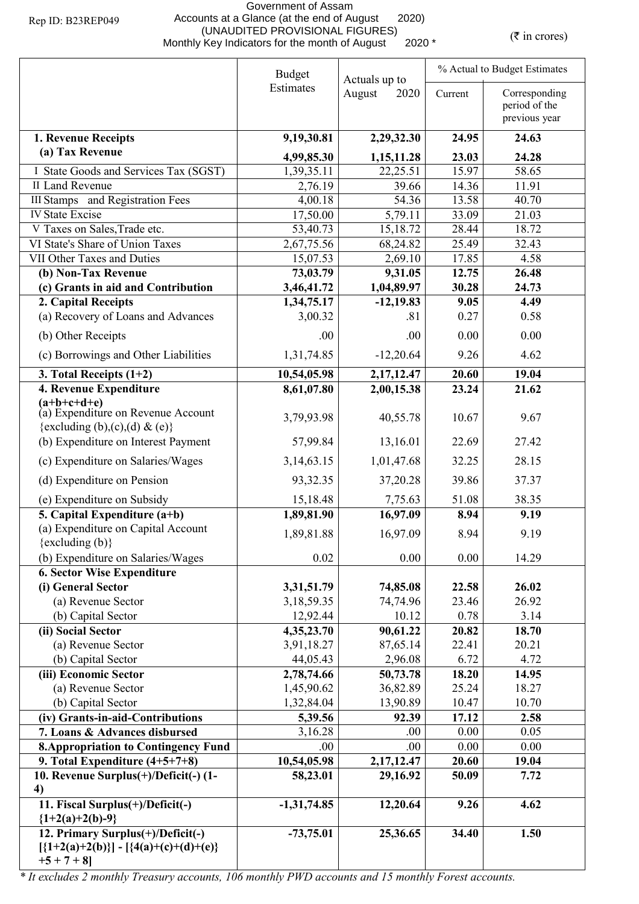## Government of Assam Accounts at a Glance (at the end of August 2020) (UNAUDITED PROVISIONAL FIGURES) (WHAUDITED PROVISIONAL FIGURES) ( $\bar{\tau}$  in crores)

|                                                                                                                        | <b>Budget</b> | Actuals up to  | % Actual to Budget Estimates |                                                 |  |
|------------------------------------------------------------------------------------------------------------------------|---------------|----------------|------------------------------|-------------------------------------------------|--|
|                                                                                                                        | Estimates     | August<br>2020 | Current                      | Corresponding<br>period of the<br>previous year |  |
| 1. Revenue Receipts                                                                                                    | 9,19,30.81    | 2,29,32.30     | 24.95                        | 24.63                                           |  |
| (a) Tax Revenue                                                                                                        | 4,99,85.30    | 1,15,11.28     | 23.03                        | 24.28                                           |  |
| I State Goods and Services Tax (SGST)                                                                                  | 1,39,35.11    | 22,25.51       | 15.97                        | 58.65                                           |  |
| <b>II Land Revenue</b>                                                                                                 | 2,76.19       | 39.66          | 14.36                        | 11.91                                           |  |
| <b>III Stamps</b> and Registration Fees                                                                                | 4,00.18       | 54.36          | 13.58                        | 40.70                                           |  |
| <b>IV State Excise</b>                                                                                                 | 17,50.00      | 5,79.11        | 33.09                        | 21.03                                           |  |
| V Taxes on Sales, Trade etc.                                                                                           | 53,40.73      | 15,18.72       | 28.44                        | 18.72                                           |  |
| VI State's Share of Union Taxes                                                                                        | 2,67,75.56    | 68,24.82       | 25.49                        | 32.43                                           |  |
| VII Other Taxes and Duties                                                                                             | 15,07.53      | 2,69.10        | 17.85                        | 4.58                                            |  |
| (b) Non-Tax Revenue                                                                                                    | 73,03.79      | 9,31.05        | 12.75                        | 26.48                                           |  |
| (c) Grants in aid and Contribution                                                                                     | 3,46,41.72    | 1,04,89.97     | 30.28                        | 24.73                                           |  |
| 2. Capital Receipts                                                                                                    | 1,34,75.17    | $-12,19.83$    | 9.05                         | 4.49                                            |  |
| (a) Recovery of Loans and Advances                                                                                     | 3,00.32       | .81            | 0.27                         | 0.58                                            |  |
| (b) Other Receipts                                                                                                     | .00           | .00            | 0.00                         | 0.00                                            |  |
| (c) Borrowings and Other Liabilities                                                                                   | 1,31,74.85    | $-12,20.64$    | 9.26                         | 4.62                                            |  |
| 3. Total Receipts $(1+2)$                                                                                              | 10,54,05.98   | 2, 17, 12. 47  | 20.60                        | 19.04                                           |  |
| 4. Revenue Expenditure                                                                                                 | 8,61,07.80    | 2,00,15.38     | 23.24                        | 21.62                                           |  |
| $(a+b+c+d+e)$<br>(a) Expenditure on Revenue Account                                                                    | 3,79,93.98    | 40,55.78       | 10.67                        | 9.67                                            |  |
| {excluding (b),(c),(d) & (e)}                                                                                          |               |                |                              |                                                 |  |
| (b) Expenditure on Interest Payment                                                                                    | 57,99.84      | 13,16.01       | 22.69                        | 27.42                                           |  |
| (c) Expenditure on Salaries/Wages                                                                                      | 3, 14, 63. 15 | 1,01,47.68     | 32.25                        | 28.15                                           |  |
| (d) Expenditure on Pension                                                                                             | 93,32.35      | 37,20.28       | 39.86                        | 37.37                                           |  |
| (e) Expenditure on Subsidy                                                                                             | 15,18.48      | 7,75.63        | 51.08                        | 38.35                                           |  |
| 5. Capital Expenditure $(a+b)$                                                                                         | 1,89,81.90    | 16,97.09       | 8.94                         | 9.19                                            |  |
| (a) Expenditure on Capital Account<br>$\{excluding (b)\}$                                                              | 1,89,81.88    | 16,97.09       | 8.94                         | 9.19                                            |  |
| (b) Expenditure on Salaries/Wages                                                                                      | 0.02          | 0.00           | 0.00                         | 14.29                                           |  |
| <b>6. Sector Wise Expenditure</b>                                                                                      |               |                |                              |                                                 |  |
| (i) General Sector                                                                                                     | 3,31,51.79    | 74,85.08       | 22.58                        | 26.02                                           |  |
| (a) Revenue Sector                                                                                                     | 3,18,59.35    | 74,74.96       | 23.46                        | 26.92                                           |  |
| (b) Capital Sector                                                                                                     | 12,92.44      | 10.12          | 0.78                         | 3.14                                            |  |
| (ii) Social Sector                                                                                                     | 4,35,23.70    | 90,61.22       | 20.82                        | 18.70                                           |  |
| (a) Revenue Sector                                                                                                     | 3,91,18.27    | 87,65.14       | 22.41                        | 20.21                                           |  |
| (b) Capital Sector                                                                                                     | 44,05.43      | 2,96.08        | 6.72                         | 4.72                                            |  |
| (iii) Economic Sector                                                                                                  | 2,78,74.66    | 50,73.78       | 18.20                        | 14.95                                           |  |
| (a) Revenue Sector                                                                                                     | 1,45,90.62    | 36,82.89       | 25.24                        | 18.27                                           |  |
| (b) Capital Sector                                                                                                     | 1,32,84.04    | 13,90.89       | 10.47                        | 10.70                                           |  |
| (iv) Grants-in-aid-Contributions                                                                                       | 5,39.56       | 92.39          | 17.12                        | 2.58                                            |  |
| 7. Loans & Advances disbursed                                                                                          | 3,16.28       | .00            | 0.00                         | 0.05                                            |  |
| <b>8. Appropriation to Contingency Fund</b>                                                                            | .00           | .00.           | 0.00                         | 0.00                                            |  |
| 9. Total Expenditure $(4+5+7+8)$                                                                                       | 10,54,05.98   | 2, 17, 12. 47  | 20.60                        | 19.04                                           |  |
| 10. Revenue Surplus(+)/Deficit(-) (1-<br>4)                                                                            | 58,23.01      | 29,16.92       | 50.09                        | 7.72                                            |  |
| 11. Fiscal Surplus(+)/Deficit(-)                                                                                       | $-1,31,74.85$ | 12,20.64       | 9.26                         | 4.62                                            |  |
| ${1+2(a)+2(b)-9}$<br>12. Primary Surplus(+)/Deficit(-)<br>$[\{1+2(a)+2(b)\}] - [\{4(a)+(c)+(d)+(e)\}]$<br>$+5 + 7 + 8$ | $-73,75.01$   | 25,36.65       | 34.40                        | 1.50                                            |  |

*\* It excludes 2 monthly Treasury accounts, 106 monthly PWD accounts and 15 monthly Forest accounts.*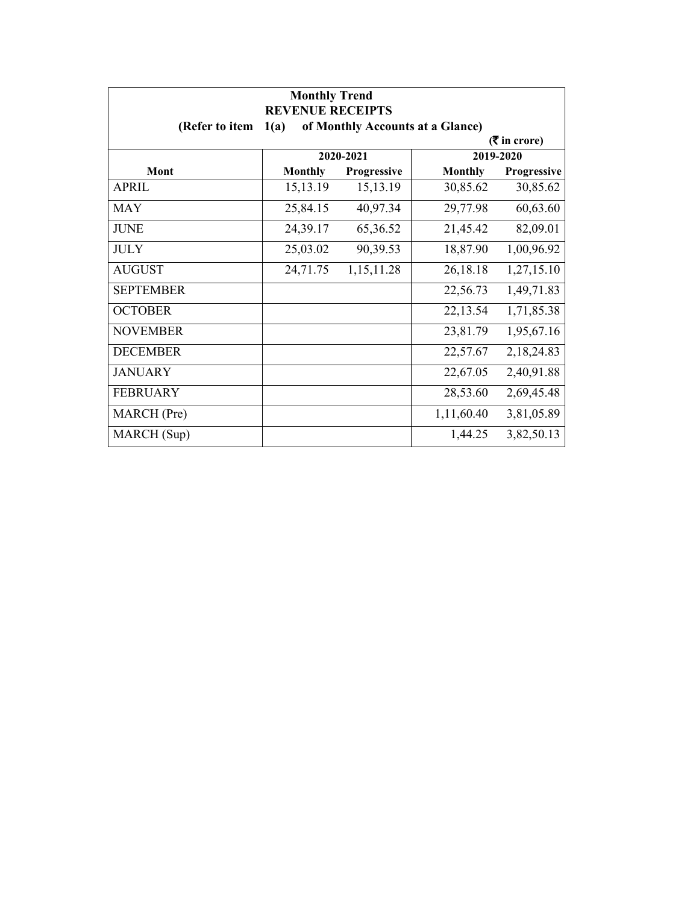| <b>Monthly Trend</b><br><b>REVENUE RECEIPTS</b> |                             |             |                                  |             |  |
|-------------------------------------------------|-----------------------------|-------------|----------------------------------|-------------|--|
| (Refer to item                                  | 1(a)                        |             | of Monthly Accounts at a Glance) |             |  |
|                                                 | $(3\overline{5})$ in crore) |             |                                  |             |  |
|                                                 |                             | 2020-2021   |                                  | 2019-2020   |  |
| Mont                                            | <b>Monthly</b>              | Progressive | <b>Monthly</b>                   | Progressive |  |
| APRIL                                           | 15, 13. 19                  | 15, 13. 19  | 30,85.62                         | 30,85.62    |  |
| <b>MAY</b>                                      | 25,84.15                    | 40,97.34    | 29,77.98                         | 60,63.60    |  |
| <b>JUNE</b>                                     | 24,39.17                    | 65,36.52    | 21,45.42                         | 82,09.01    |  |
| <b>JULY</b>                                     | 25,03.02                    | 90,39.53    | 18,87.90                         | 1,00,96.92  |  |
| <b>AUGUST</b>                                   | 24,71.75                    | 1,15,11.28  | 26,18.18                         | 1,27,15.10  |  |
| <b>SEPTEMBER</b>                                |                             |             | 22,56.73                         | 1,49,71.83  |  |
| <b>OCTOBER</b>                                  |                             |             | 22,13.54                         | 1,71,85.38  |  |
| <b>NOVEMBER</b>                                 |                             |             | 23,81.79                         | 1,95,67.16  |  |
| <b>DECEMBER</b>                                 |                             |             | 22,57.67                         | 2,18,24.83  |  |
| <b>JANUARY</b>                                  |                             |             | 22,67.05                         | 2,40,91.88  |  |
| <b>FEBRUARY</b>                                 |                             |             | 28,53.60                         | 2,69,45.48  |  |
| MARCH (Pre)                                     |                             |             | 1,11,60.40                       | 3,81,05.89  |  |
| MARCH (Sup)                                     |                             |             | 1,44.25                          | 3,82,50.13  |  |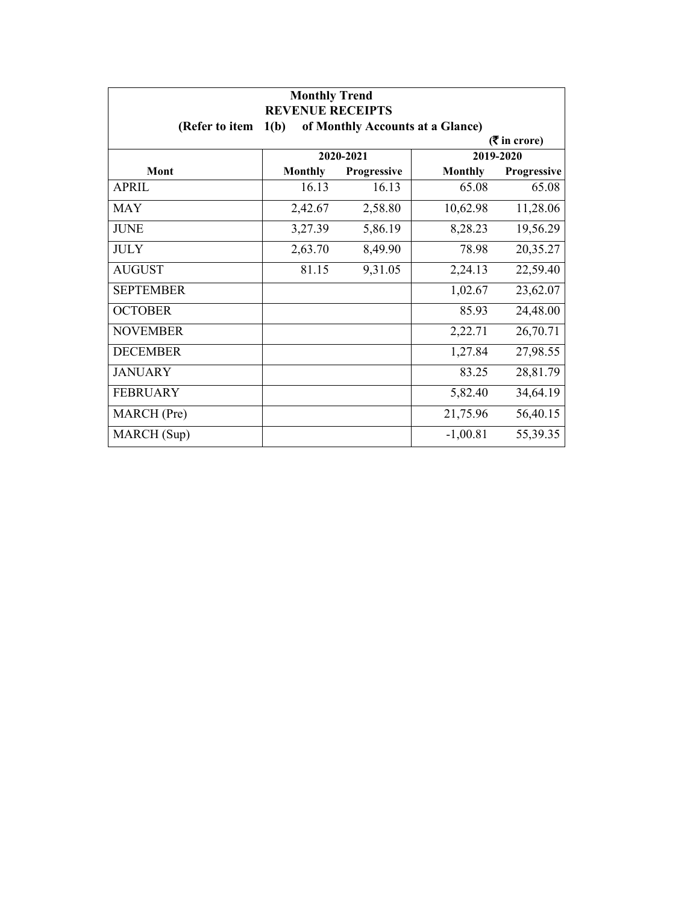| <b>Monthly Trend</b><br><b>REVENUE RECEIPTS</b> |                |                                  |                |             |
|-------------------------------------------------|----------------|----------------------------------|----------------|-------------|
| (Refer to item                                  | 1(b)           | of Monthly Accounts at a Glance) |                |             |
| $(3\overline{5})$ in crore)                     |                |                                  |                |             |
|                                                 |                | 2020-2021                        |                | 2019-2020   |
| Mont                                            | <b>Monthly</b> | Progressive                      | <b>Monthly</b> | Progressive |
| APRIL                                           | 16.13          | 16.13                            | 65.08          | 65.08       |
| <b>MAY</b>                                      | 2,42.67        | 2,58.80                          | 10,62.98       | 11,28.06    |
| <b>JUNE</b>                                     | 3,27.39        | 5,86.19                          | 8,28.23        | 19,56.29    |
| <b>JULY</b>                                     | 2,63.70        | 8,49.90                          | 78.98          | 20,35.27    |
| <b>AUGUST</b>                                   | 81.15          | 9,31.05                          | 2,24.13        | 22,59.40    |
| <b>SEPTEMBER</b>                                |                |                                  | 1,02.67        | 23,62.07    |
| <b>OCTOBER</b>                                  |                |                                  | 85.93          | 24,48.00    |
| <b>NOVEMBER</b>                                 |                |                                  | 2,22.71        | 26,70.71    |
| <b>DECEMBER</b>                                 |                |                                  | 1,27.84        | 27,98.55    |
| <b>JANUARY</b>                                  |                |                                  | 83.25          | 28,81.79    |
| <b>FEBRUARY</b>                                 |                |                                  | 5,82.40        | 34,64.19    |
| MARCH (Pre)                                     |                |                                  | 21,75.96       | 56,40.15    |
| MARCH (Sup)                                     |                |                                  | $-1,00.81$     | 55,39.35    |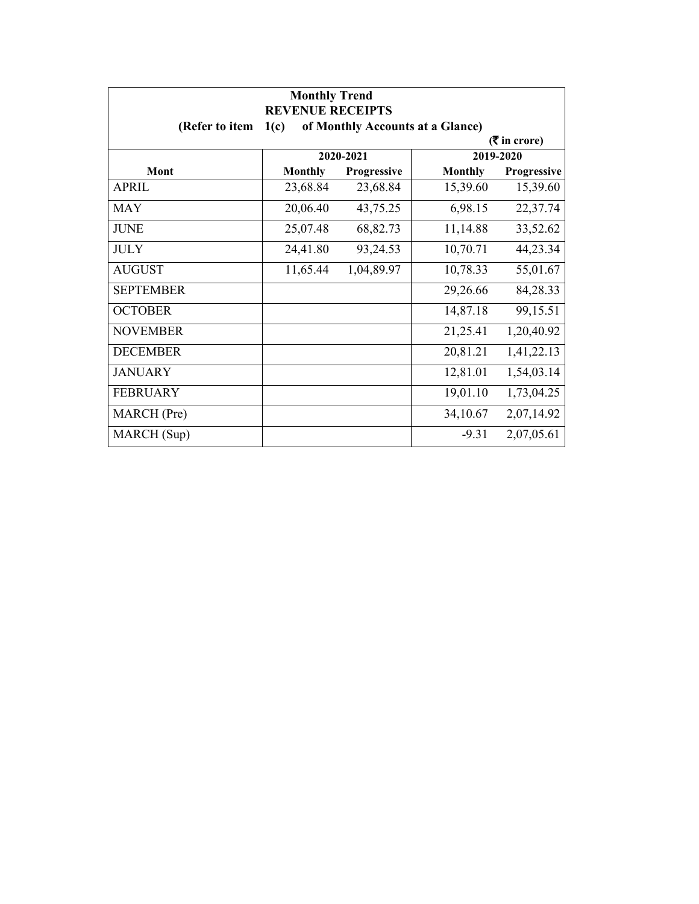| <b>Monthly Trend</b><br><b>REVENUE RECEIPTS</b> |                |             |                                  |                             |
|-------------------------------------------------|----------------|-------------|----------------------------------|-----------------------------|
| (Refer to item                                  | 1(c)           |             | of Monthly Accounts at a Glance) |                             |
|                                                 |                |             |                                  | $(3\overline{5})$ in crore) |
|                                                 |                | 2020-2021   |                                  | 2019-2020                   |
| Mont                                            | <b>Monthly</b> | Progressive | <b>Monthly</b>                   | Progressive                 |
| <b>APRIL</b>                                    | 23,68.84       | 23,68.84    | 15,39.60                         | 15,39.60                    |
| <b>MAY</b>                                      | 20,06.40       | 43,75.25    | 6,98.15                          | 22,37.74                    |
| <b>JUNE</b>                                     | 25,07.48       | 68,82.73    | 11,14.88                         | 33,52.62                    |
| <b>JULY</b>                                     | 24,41.80       | 93,24.53    | 10,70.71                         | 44,23.34                    |
| <b>AUGUST</b>                                   | 11,65.44       | 1,04,89.97  | 10,78.33                         | 55,01.67                    |
| <b>SEPTEMBER</b>                                |                |             | 29,26.66                         | 84,28.33                    |
| <b>OCTOBER</b>                                  |                |             | 14,87.18                         | 99,15.51                    |
| <b>NOVEMBER</b>                                 |                |             | 21,25.41                         | 1,20,40.92                  |
| <b>DECEMBER</b>                                 |                |             | 20,81.21                         | 1,41,22.13                  |
| <b>JANUARY</b>                                  |                |             | 12,81.01                         | 1,54,03.14                  |
| <b>FEBRUARY</b>                                 |                |             | 19,01.10                         | 1,73,04.25                  |
| MARCH (Pre)                                     |                |             | 34,10.67                         | 2,07,14.92                  |
| MARCH (Sup)                                     |                |             | $-9.31$                          | 2,07,05.61                  |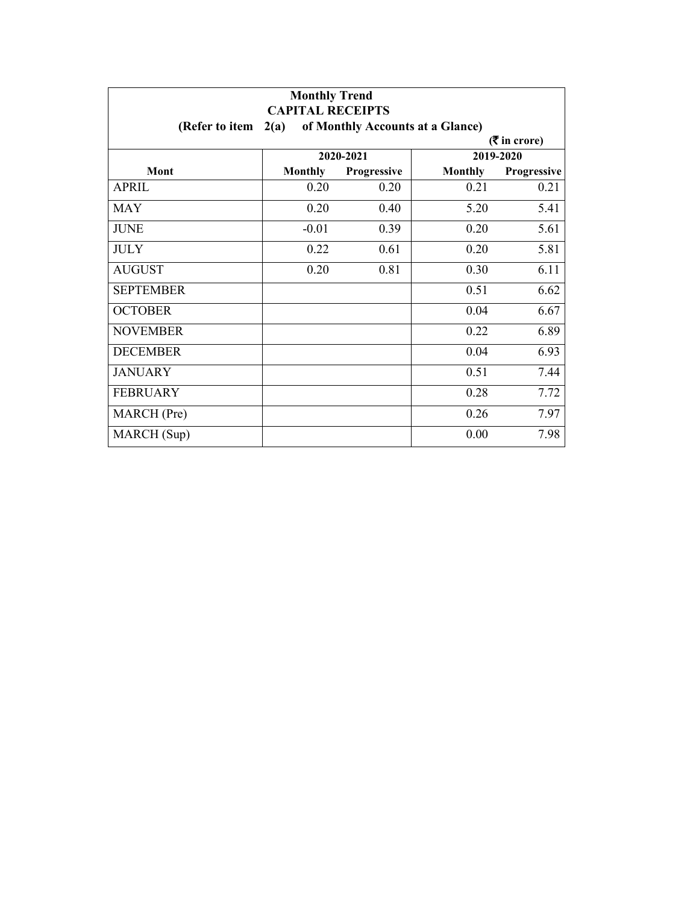| <b>Monthly Trend</b><br><b>CAPITAL RECEIPTS</b> |                |                                  |                |             |
|-------------------------------------------------|----------------|----------------------------------|----------------|-------------|
| (Refer to item                                  | 2(a)           | of Monthly Accounts at a Glance) |                |             |
| $($ ₹ in crore)                                 |                |                                  |                |             |
|                                                 |                | 2020-2021                        |                | 2019-2020   |
| <b>Mont</b>                                     | <b>Monthly</b> | Progressive                      | <b>Monthly</b> | Progressive |
| <b>APRIL</b>                                    | 0.20           | 0.20                             | 0.21           | 0.21        |
| <b>MAY</b>                                      | 0.20           | 0.40                             | 5.20           | 5.41        |
| <b>JUNE</b>                                     | $-0.01$        | 0.39                             | 0.20           | 5.61        |
| <b>JULY</b>                                     | 0.22           | 0.61                             | 0.20           | 5.81        |
| <b>AUGUST</b>                                   | 0.20           | 0.81                             | 0.30           | 6.11        |
| <b>SEPTEMBER</b>                                |                |                                  | 0.51           | 6.62        |
| <b>OCTOBER</b>                                  |                |                                  | 0.04           | 6.67        |
| <b>NOVEMBER</b>                                 |                |                                  | 0.22           | 6.89        |
| <b>DECEMBER</b>                                 |                |                                  | 0.04           | 6.93        |
| <b>JANUARY</b>                                  |                |                                  | 0.51           | 7.44        |
| <b>FEBRUARY</b>                                 |                |                                  | 0.28           | 7.72        |
| MARCH (Pre)                                     |                |                                  | 0.26           | 7.97        |
| MARCH (Sup)                                     |                |                                  | 0.00           | 7.98        |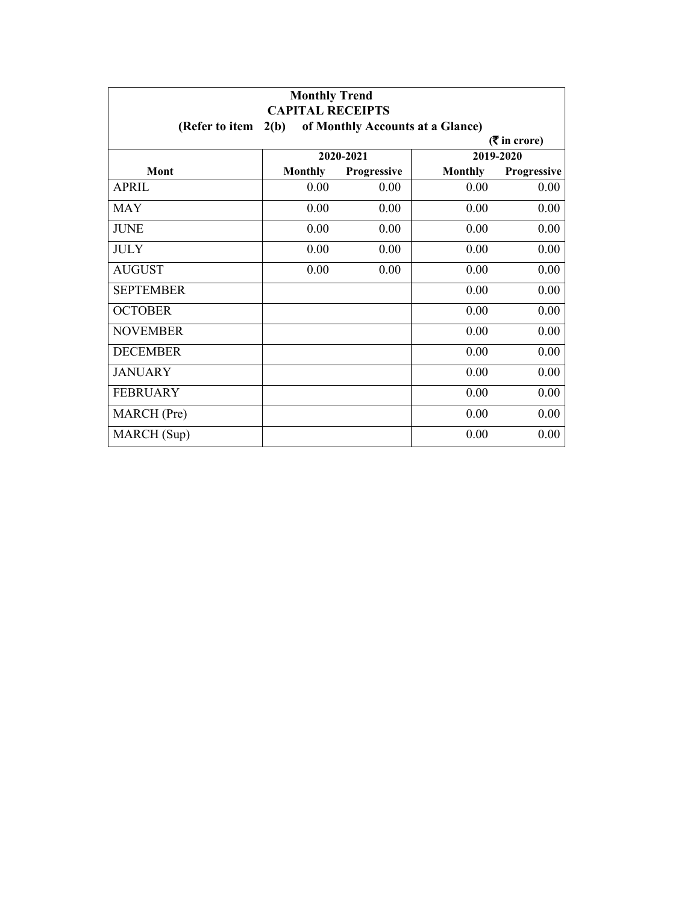| <b>Monthly Trend</b><br><b>CAPITAL RECEIPTS</b> |                |                    |                                  |                 |
|-------------------------------------------------|----------------|--------------------|----------------------------------|-----------------|
| (Refer to item                                  | 2(b)           |                    | of Monthly Accounts at a Glance) |                 |
|                                                 |                |                    |                                  | $($ ₹ in crore) |
|                                                 |                | 2020-2021          |                                  | 2019-2020       |
| Mont                                            | <b>Monthly</b> | <b>Progressive</b> | <b>Monthly</b>                   | Progressive     |
| <b>APRIL</b>                                    | 0.00           | 0.00               | 0.00                             | 0.00            |
| <b>MAY</b>                                      | 0.00           | 0.00               | 0.00                             | 0.00            |
| <b>JUNE</b>                                     | 0.00           | 0.00               | 0.00                             | 0.00            |
| <b>JULY</b>                                     | 0.00           | 0.00               | 0.00                             | 0.00            |
| <b>AUGUST</b>                                   | 0.00           | 0.00               | 0.00                             | 0.00            |
| <b>SEPTEMBER</b>                                |                |                    | 0.00                             | 0.00            |
| <b>OCTOBER</b>                                  |                |                    | 0.00                             | 0.00            |
| <b>NOVEMBER</b>                                 |                |                    | 0.00                             | 0.00            |
| <b>DECEMBER</b>                                 |                |                    | 0.00                             | 0.00            |
| <b>JANUARY</b>                                  |                |                    | 0.00                             | 0.00            |
| <b>FEBRUARY</b>                                 |                |                    | 0.00                             | 0.00            |
| <b>MARCH</b> (Pre)                              |                |                    | 0.00                             | 0.00            |
| MARCH (Sup)                                     |                |                    | 0.00                             | 0.00            |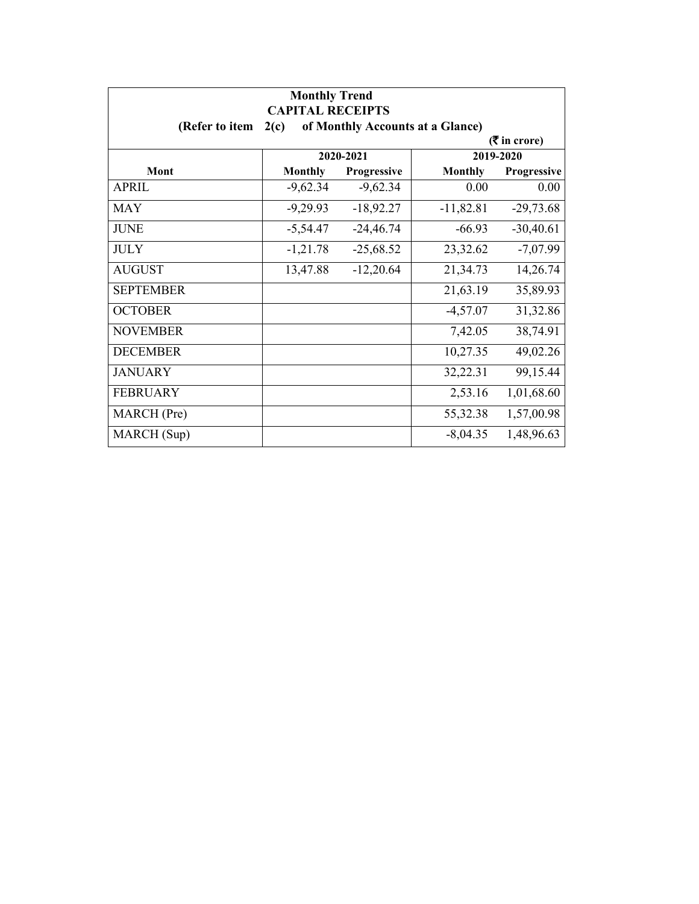| <b>Monthly Trend</b><br><b>CAPITAL RECEIPTS</b> |                |                                  |                |                 |
|-------------------------------------------------|----------------|----------------------------------|----------------|-----------------|
| (Refer to item                                  | 2(c)           | of Monthly Accounts at a Glance) |                |                 |
|                                                 |                |                                  |                | $($ ₹ in crore) |
|                                                 |                | 2020-2021                        |                | 2019-2020       |
| Mont                                            | <b>Monthly</b> | Progressive                      | <b>Monthly</b> | Progressive     |
| <b>APRIL</b>                                    | $-9,62.34$     | $-9,62.34$                       | 0.00           | 0.00            |
| <b>MAY</b>                                      | $-9,29.93$     | $-18,92.27$                      | $-11,82.81$    | $-29,73.68$     |
| <b>JUNE</b>                                     | $-5,54.47$     | $-24,46.74$                      | $-66.93$       | $-30,40.61$     |
| <b>JULY</b>                                     | $-1,21.78$     | $-25,68.52$                      | 23,32.62       | $-7,07.99$      |
| <b>AUGUST</b>                                   | 13,47.88       | $-12,20.64$                      | 21,34.73       | 14,26.74        |
| <b>SEPTEMBER</b>                                |                |                                  | 21,63.19       | 35,89.93        |
| <b>OCTOBER</b>                                  |                |                                  | $-4,57.07$     | 31,32.86        |
| <b>NOVEMBER</b>                                 |                |                                  | 7,42.05        | 38,74.91        |
| <b>DECEMBER</b>                                 |                |                                  | 10,27.35       | 49,02.26        |
| <b>JANUARY</b>                                  |                |                                  | 32,22.31       | 99,15.44        |
| <b>FEBRUARY</b>                                 |                |                                  | 2,53.16        | 1,01,68.60      |
| MARCH (Pre)                                     |                |                                  | 55,32.38       | 1,57,00.98      |
| MARCH (Sup)                                     |                |                                  | $-8,04.35$     | 1,48,96.63      |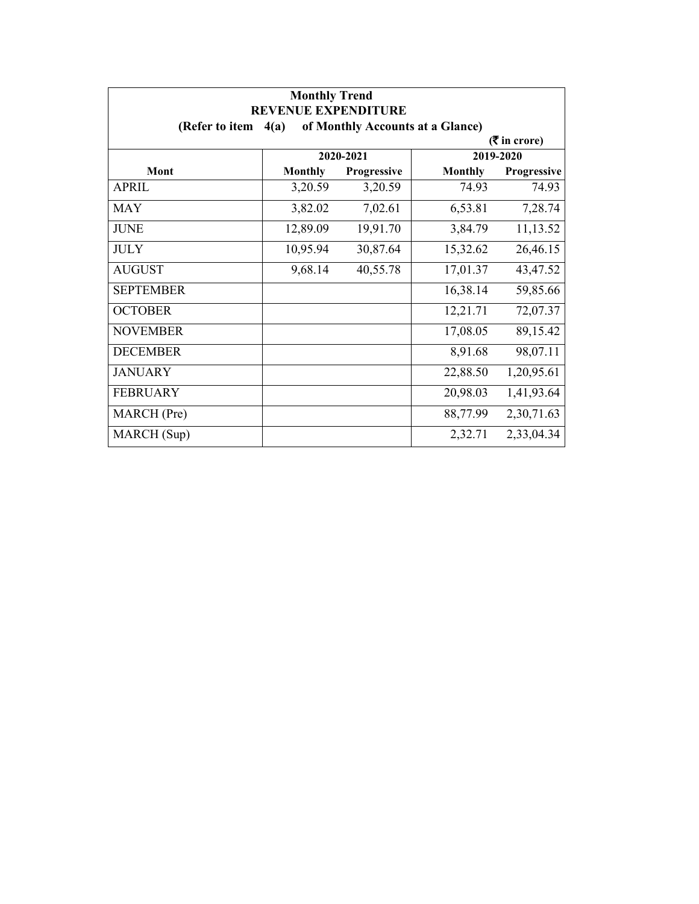| <b>Monthly Trend</b><br><b>REVENUE EXPENDITURE</b> |                |                                  |                |                             |
|----------------------------------------------------|----------------|----------------------------------|----------------|-----------------------------|
| (Refer to item                                     | 4(a)           | of Monthly Accounts at a Glance) |                |                             |
|                                                    |                |                                  |                | $(3\overline{5})$ in crore) |
|                                                    |                | 2020-2021                        |                | 2019-2020                   |
| Mont                                               | <b>Monthly</b> | Progressive                      | <b>Monthly</b> | Progressive                 |
| <b>APRIL</b>                                       | 3,20.59        | 3,20.59                          | 74.93          | 74.93                       |
| <b>MAY</b>                                         | 3,82.02        | 7,02.61                          | 6,53.81        | 7,28.74                     |
| <b>JUNE</b>                                        | 12,89.09       | 19,91.70                         | 3,84.79        | 11,13.52                    |
| <b>JULY</b>                                        | 10,95.94       | 30,87.64                         | 15,32.62       | 26,46.15                    |
| <b>AUGUST</b>                                      | 9,68.14        | 40,55.78                         | 17,01.37       | 43,47.52                    |
| <b>SEPTEMBER</b>                                   |                |                                  | 16,38.14       | 59,85.66                    |
| <b>OCTOBER</b>                                     |                |                                  | 12,21.71       | 72,07.37                    |
| <b>NOVEMBER</b>                                    |                |                                  | 17,08.05       | 89,15.42                    |
| <b>DECEMBER</b>                                    |                |                                  | 8,91.68        | 98,07.11                    |
| <b>JANUARY</b>                                     |                |                                  | 22,88.50       | 1,20,95.61                  |
| <b>FEBRUARY</b>                                    |                |                                  | 20,98.03       | 1,41,93.64                  |
| MARCH (Pre)                                        |                |                                  | 88,77.99       | 2,30,71.63                  |
| MARCH (Sup)                                        |                |                                  | 2,32.71        | 2,33,04.34                  |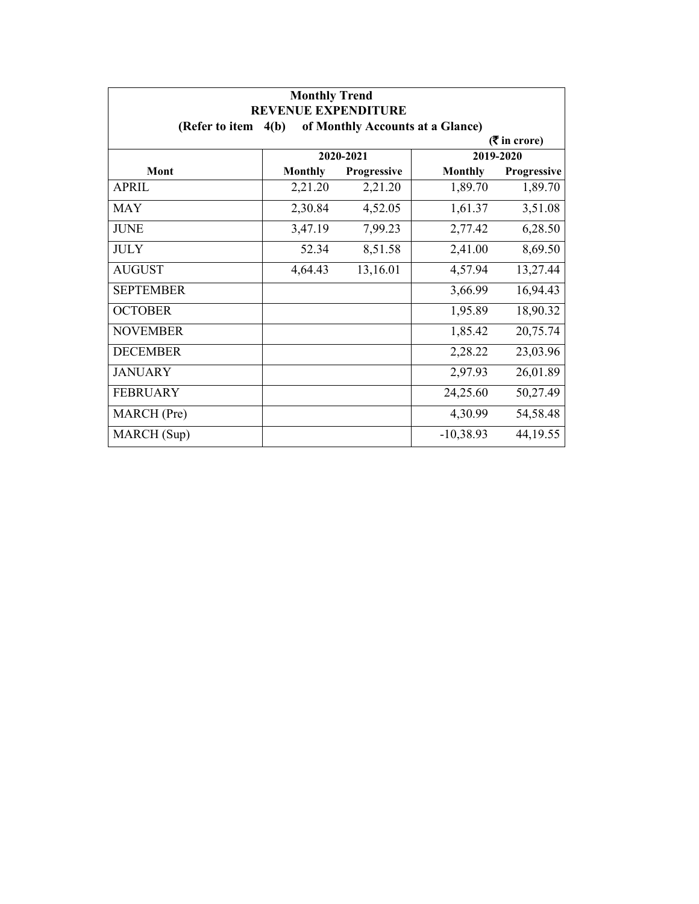| <b>Monthly Trend</b><br><b>REVENUE EXPENDITURE</b> |                |                                  |                |                             |
|----------------------------------------------------|----------------|----------------------------------|----------------|-----------------------------|
| (Refer to item $4(b)$ )                            |                | of Monthly Accounts at a Glance) |                |                             |
|                                                    |                |                                  |                | $(3\overline{5})$ in crore) |
|                                                    |                | 2020-2021                        |                | 2019-2020                   |
| Mont                                               | <b>Monthly</b> | Progressive                      | <b>Monthly</b> | Progressive                 |
| <b>APRIL</b>                                       | 2,21.20        | 2,21.20                          | 1,89.70        | 1,89.70                     |
| <b>MAY</b>                                         | 2,30.84        | 4,52.05                          | 1,61.37        | 3,51.08                     |
| <b>JUNE</b>                                        | 3,47.19        | 7,99.23                          | 2,77.42        | 6,28.50                     |
| <b>JULY</b>                                        | 52.34          | 8,51.58                          | 2,41.00        | 8,69.50                     |
| <b>AUGUST</b>                                      | 4,64.43        | 13,16.01                         | 4,57.94        | 13,27.44                    |
| <b>SEPTEMBER</b>                                   |                |                                  | 3,66.99        | 16,94.43                    |
| <b>OCTOBER</b>                                     |                |                                  | 1,95.89        | 18,90.32                    |
| <b>NOVEMBER</b>                                    |                |                                  | 1,85.42        | 20,75.74                    |
| <b>DECEMBER</b>                                    |                |                                  | 2,28.22        | 23,03.96                    |
| <b>JANUARY</b>                                     |                |                                  | 2,97.93        | 26,01.89                    |
| <b>FEBRUARY</b>                                    |                |                                  | 24,25.60       | 50,27.49                    |
| MARCH (Pre)                                        |                |                                  | 4,30.99        | 54,58.48                    |
| MARCH (Sup)                                        |                |                                  | $-10,38.93$    | 44, 19.55                   |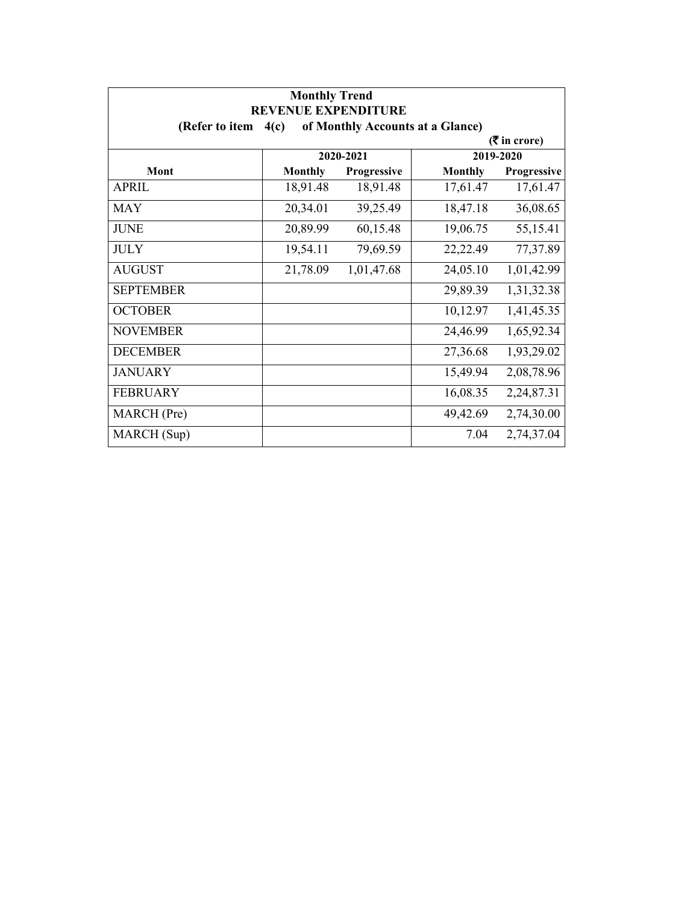| <b>Monthly Trend</b><br><b>REVENUE EXPENDITURE</b> |                                          |             |                |                 |  |  |
|----------------------------------------------------|------------------------------------------|-------------|----------------|-----------------|--|--|
| (Refer to item                                     | of Monthly Accounts at a Glance)<br>4(c) |             |                |                 |  |  |
|                                                    |                                          |             |                | $($ ₹ in crore) |  |  |
|                                                    |                                          | 2020-2021   |                | 2019-2020       |  |  |
| Mont                                               | <b>Monthly</b>                           | Progressive | <b>Monthly</b> | Progressive     |  |  |
| <b>APRIL</b>                                       | 18,91.48                                 | 18,91.48    | 17,61.47       | 17,61.47        |  |  |
| <b>MAY</b>                                         | 20,34.01                                 | 39,25.49    | 18,47.18       | 36,08.65        |  |  |
| <b>JUNE</b>                                        | 20,89.99                                 | 60,15.48    | 19,06.75       | 55,15.41        |  |  |
| <b>JULY</b>                                        | 19,54.11                                 | 79,69.59    | 22,22.49       | 77,37.89        |  |  |
| <b>AUGUST</b>                                      | 21,78.09                                 | 1,01,47.68  | 24,05.10       | 1,01,42.99      |  |  |
| <b>SEPTEMBER</b>                                   |                                          |             | 29,89.39       | 1,31,32.38      |  |  |
| <b>OCTOBER</b>                                     |                                          |             | 10,12.97       | 1,41,45.35      |  |  |
| <b>NOVEMBER</b>                                    |                                          |             | 24,46.99       | 1,65,92.34      |  |  |
| <b>DECEMBER</b>                                    |                                          |             | 27,36.68       | 1,93,29.02      |  |  |
| <b>JANUARY</b>                                     |                                          |             | 15,49.94       | 2,08,78.96      |  |  |
| <b>FEBRUARY</b>                                    |                                          |             | 16,08.35       | 2,24,87.31      |  |  |
| MARCH (Pre)                                        |                                          |             | 49,42.69       | 2,74,30.00      |  |  |
| MARCH (Sup)                                        |                                          |             | 7.04           | 2,74,37.04      |  |  |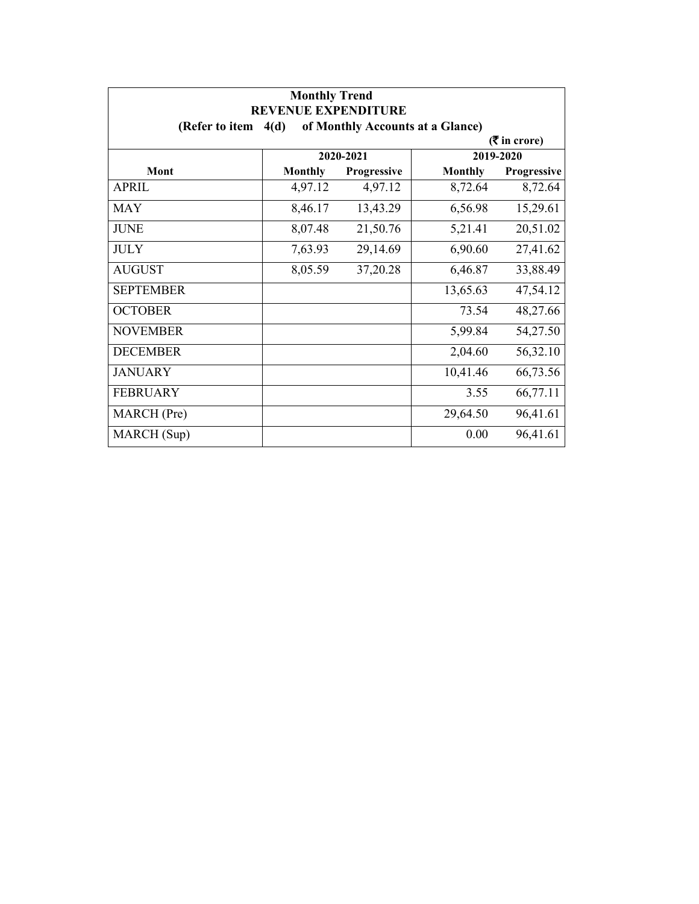| <b>Monthly Trend</b><br><b>REVENUE EXPENDITURE</b> |                |                                  |                |                             |
|----------------------------------------------------|----------------|----------------------------------|----------------|-----------------------------|
| (Refer to item $4(d)$                              |                | of Monthly Accounts at a Glance) |                |                             |
|                                                    |                |                                  |                | $(3\overline{5})$ in crore) |
|                                                    |                | 2020-2021                        |                | 2019-2020                   |
| Mont                                               | <b>Monthly</b> | Progressive                      | <b>Monthly</b> | Progressive                 |
| <b>APRIL</b>                                       | 4,97.12        | 4,97.12                          | 8,72.64        | 8,72.64                     |
| <b>MAY</b>                                         | 8,46.17        | 13,43.29                         | 6,56.98        | 15,29.61                    |
| <b>JUNE</b>                                        | 8,07.48        | 21,50.76                         | 5,21.41        | 20,51.02                    |
| <b>JULY</b>                                        | 7,63.93        | 29,14.69                         | 6,90.60        | 27,41.62                    |
| <b>AUGUST</b>                                      | 8,05.59        | 37,20.28                         | 6,46.87        | 33,88.49                    |
| <b>SEPTEMBER</b>                                   |                |                                  | 13,65.63       | 47,54.12                    |
| <b>OCTOBER</b>                                     |                |                                  | 73.54          | 48,27.66                    |
| <b>NOVEMBER</b>                                    |                |                                  | 5,99.84        | 54,27.50                    |
| <b>DECEMBER</b>                                    |                |                                  | 2,04.60        | 56,32.10                    |
| <b>JANUARY</b>                                     |                |                                  | 10,41.46       | 66,73.56                    |
| <b>FEBRUARY</b>                                    |                |                                  | 3.55           | 66,77.11                    |
| MARCH (Pre)                                        |                |                                  | 29,64.50       | 96,41.61                    |
| MARCH (Sup)                                        |                |                                  | 0.00           | 96,41.61                    |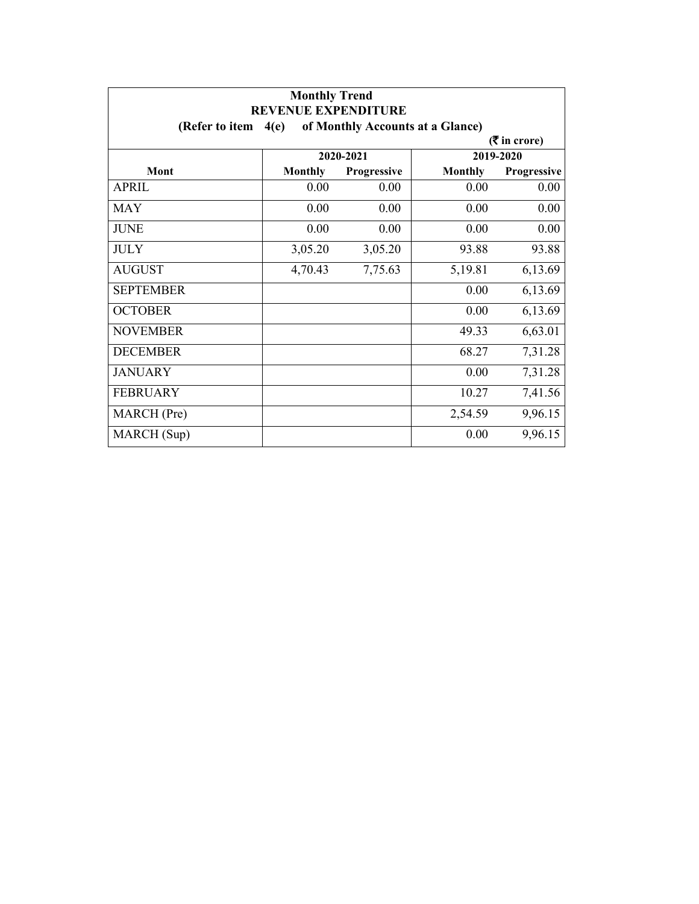| <b>Monthly Trend</b><br><b>REVENUE EXPENDITURE</b> |                |                                  |                |                             |
|----------------------------------------------------|----------------|----------------------------------|----------------|-----------------------------|
| (Refer to item                                     | 4(e)           | of Monthly Accounts at a Glance) |                |                             |
|                                                    |                |                                  |                | $(3\overline{5})$ in crore) |
|                                                    |                | 2020-2021                        |                | 2019-2020                   |
| Mont                                               | <b>Monthly</b> | <b>Progressive</b>               | <b>Monthly</b> | Progressive                 |
| <b>APRIL</b>                                       | 0.00           | 0.00                             | 0.00           | 0.00                        |
| <b>MAY</b>                                         | 0.00           | 0.00                             | 0.00           | 0.00                        |
| <b>JUNE</b>                                        | 0.00           | 0.00                             | 0.00           | 0.00                        |
| <b>JULY</b>                                        | 3,05.20        | 3,05.20                          | 93.88          | 93.88                       |
| <b>AUGUST</b>                                      | 4,70.43        | 7,75.63                          | 5,19.81        | 6,13.69                     |
| <b>SEPTEMBER</b>                                   |                |                                  | 0.00           | 6,13.69                     |
| <b>OCTOBER</b>                                     |                |                                  | 0.00           | 6,13.69                     |
| <b>NOVEMBER</b>                                    |                |                                  | 49.33          | 6,63.01                     |
| <b>DECEMBER</b>                                    |                |                                  | 68.27          | 7,31.28                     |
| <b>JANUARY</b>                                     |                |                                  | 0.00           | 7,31.28                     |
| <b>FEBRUARY</b>                                    |                |                                  | 10.27          | 7,41.56                     |
| MARCH (Pre)                                        |                |                                  | 2,54.59        | 9,96.15                     |
| MARCH (Sup)                                        |                |                                  | 0.00           | 9,96.15                     |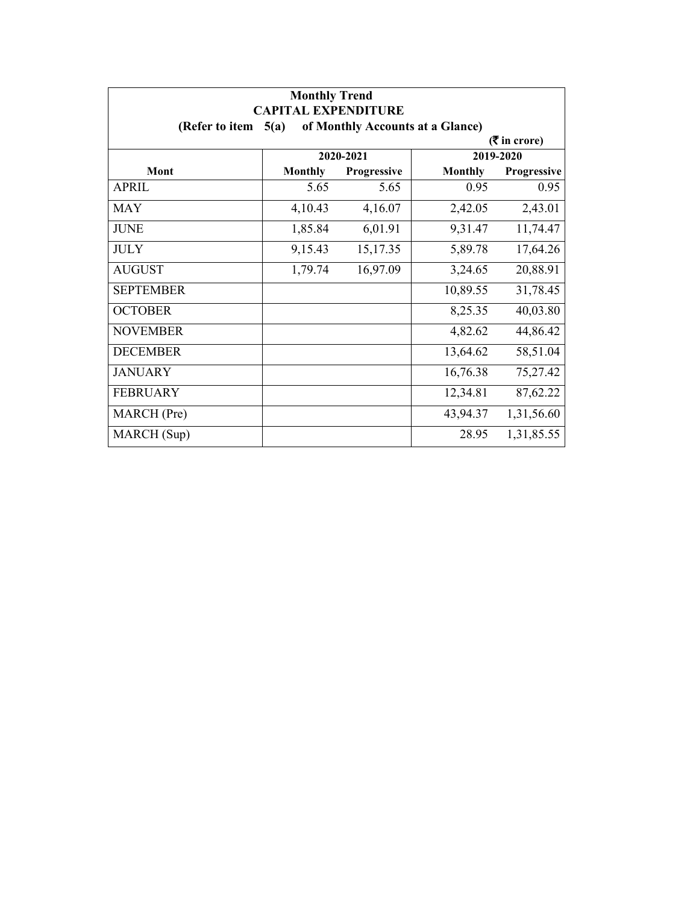| <b>Monthly Trend</b><br><b>CAPITAL EXPENDITURE</b>         |                |             |                |             |  |  |  |
|------------------------------------------------------------|----------------|-------------|----------------|-------------|--|--|--|
| of Monthly Accounts at a Glance)<br>(Refer to item<br>5(a) |                |             |                |             |  |  |  |
| $(3\overline{5})$ in crore)                                |                |             |                |             |  |  |  |
|                                                            | 2020-2021      |             | 2019-2020      |             |  |  |  |
| Mont                                                       | <b>Monthly</b> | Progressive | <b>Monthly</b> | Progressive |  |  |  |
| <b>APRIL</b>                                               | 5.65           | 5.65        | 0.95           | 0.95        |  |  |  |
| <b>MAY</b>                                                 | 4,10.43        | 4,16.07     | 2,42.05        | 2,43.01     |  |  |  |
| <b>JUNE</b>                                                | 1,85.84        | 6,01.91     | 9,31.47        | 11,74.47    |  |  |  |
| <b>JULY</b>                                                | 9,15.43        | 15,17.35    | 5,89.78        | 17,64.26    |  |  |  |
| <b>AUGUST</b>                                              | 1,79.74        | 16,97.09    | 3,24.65        | 20,88.91    |  |  |  |
| <b>SEPTEMBER</b>                                           |                |             | 10,89.55       | 31,78.45    |  |  |  |
| <b>OCTOBER</b>                                             |                |             | 8,25.35        | 40,03.80    |  |  |  |
| <b>NOVEMBER</b>                                            |                |             | 4,82.62        | 44,86.42    |  |  |  |
| <b>DECEMBER</b>                                            |                |             | 13,64.62       | 58,51.04    |  |  |  |
| <b>JANUARY</b>                                             |                |             | 16,76.38       | 75,27.42    |  |  |  |
| <b>FEBRUARY</b>                                            |                |             | 12,34.81       | 87,62.22    |  |  |  |
| MARCH (Pre)                                                |                |             | 43,94.37       | 1,31,56.60  |  |  |  |
| MARCH (Sup)                                                |                |             | 28.95          | 1,31,85.55  |  |  |  |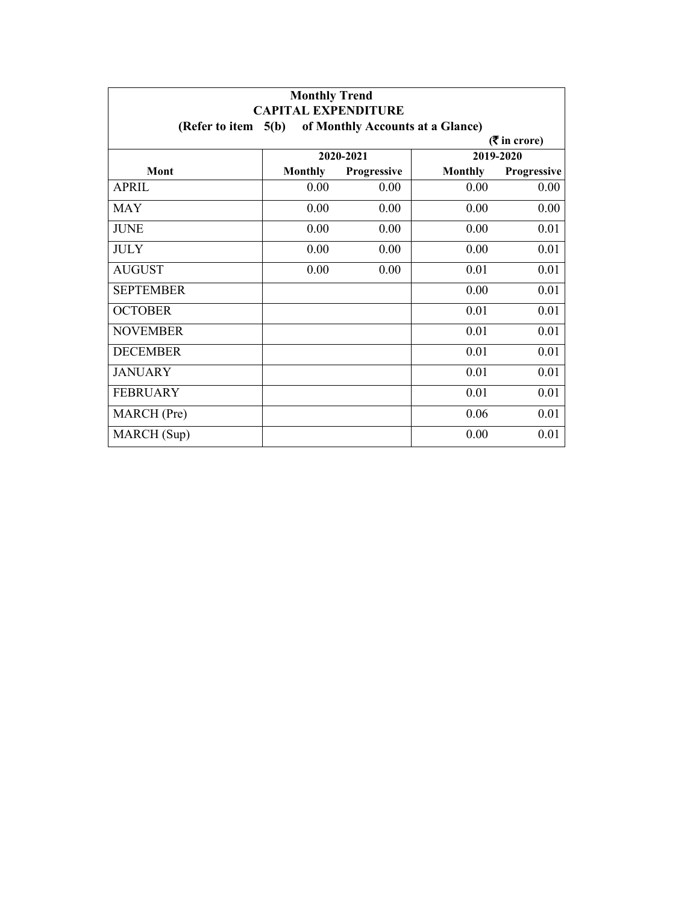| <b>Monthly Trend</b><br><b>CAPITAL EXPENDITURE</b>        |                |             |                |             |  |  |  |
|-----------------------------------------------------------|----------------|-------------|----------------|-------------|--|--|--|
| of Monthly Accounts at a Glance)<br>(Refer to item $5(b)$ |                |             |                |             |  |  |  |
| $($ ₹ in crore)                                           |                |             |                |             |  |  |  |
|                                                           | 2020-2021      |             | 2019-2020      |             |  |  |  |
| Mont                                                      | <b>Monthly</b> | Progressive | <b>Monthly</b> | Progressive |  |  |  |
| <b>APRIL</b>                                              | 0.00           | 0.00        | 0.00           | 0.00        |  |  |  |
| <b>MAY</b>                                                | 0.00           | 0.00        | 0.00           | 0.00        |  |  |  |
| <b>JUNE</b>                                               | 0.00           | 0.00        | 0.00           | 0.01        |  |  |  |
| <b>JULY</b>                                               | 0.00           | 0.00        | 0.00           | 0.01        |  |  |  |
| <b>AUGUST</b>                                             | 0.00           | 0.00        | 0.01           | 0.01        |  |  |  |
| <b>SEPTEMBER</b>                                          |                |             | 0.00           | 0.01        |  |  |  |
| <b>OCTOBER</b>                                            |                |             | 0.01           | 0.01        |  |  |  |
| <b>NOVEMBER</b>                                           |                |             | 0.01           | 0.01        |  |  |  |
| <b>DECEMBER</b>                                           |                |             | 0.01           | 0.01        |  |  |  |
| <b>JANUARY</b>                                            |                |             | 0.01           | 0.01        |  |  |  |
| <b>FEBRUARY</b>                                           |                |             | 0.01           | 0.01        |  |  |  |
| MARCH (Pre)                                               |                |             | 0.06           | 0.01        |  |  |  |
| MARCH (Sup)                                               |                |             | 0.00           | 0.01        |  |  |  |